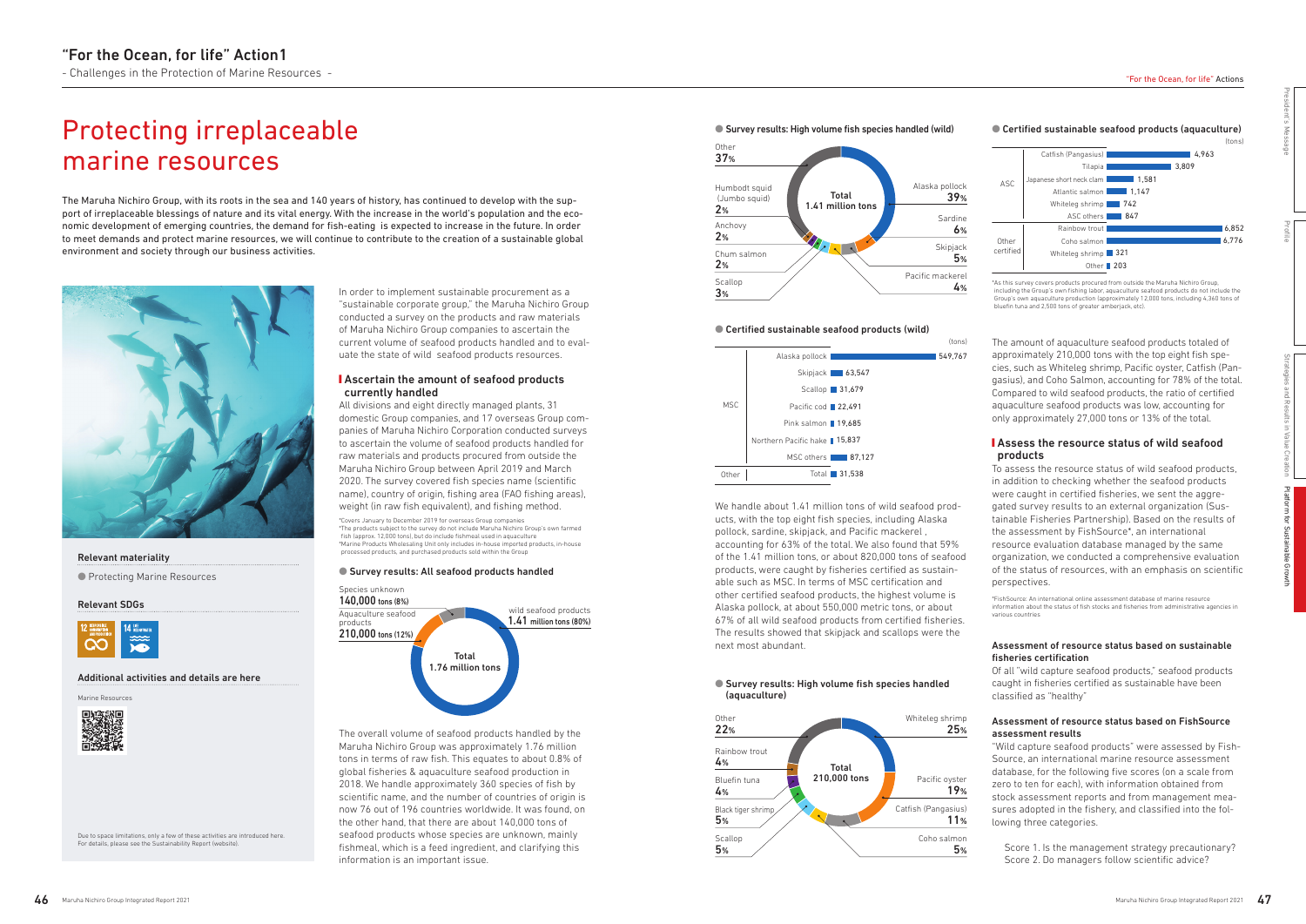# Protecting irreplaceable marine resources

The Maruha Nichiro Group, with its roots in the sea and 140 years of history, has continued to develop with the support of irreplaceable blessings of nature and its vital energy. With the increase in the world's population and the economic development of emerging countries, the demand for fish-eating is expected to increase in the future. In order to meet demands and protect marine resources, we will continue to contribute to the creation of a sustainable global environment and society through our business activities.



## Relevant materiality

● Protecting Marine Resources

#### Relevant SDGs



## **Assess the resource status of wild seafood** products

#### Additional activities and details are here

We handle about 1.41 million tons of wild seafood products, with the top eight fish species, including Alaska pollock, sardine, skipjack, and Pacific mackerel , accounting for 63% of the total. We also found that 59% of the 1.41 million tons, or about 820,000 tons of seafood products, were caught by fisheries certified as sustainable such as MSC. In terms of MSC certification and other certified seafood products, the highest volume is Alaska pollock, at about 550,000 metric tons, or about 67% of all wild seafood products from certified fisheries. The results showed that skipjack and scallops were the next most abundant.

## **I** Ascertain the amount of seafood products currently handled

To assess the resource status of wild seafood products, in addition to checking whether the seafood products were caught in certified fisheries, we sent the aggregated survey results to an external organization (Sustainable Fisheries Partnership). Based on the results of the assessment by FishSource\*, an international resource evaluation database managed by the same organization, we conducted a comprehensive evaluation of the status of resources, with an emphasis on scientific perspectives.

\*FishSource: An international online assessment database of marine resource information about the status of fish stocks and fisheries from administrative agencies in various countries

## Assessment of resource status based on sustainable fisheries certification

Of all "wild capture seafood products," seafood products caught in fisheries certified as sustainable have been classified as "healthy"

## Assessment of resource status based on FishSource assessment results

"Wild capture seafood products" were assessed by Fish-Source, an international marine resource assessment database, for the following five scores (on a scale from zero to ten for each), with information obtained from stock assessment reports and from management measures adopted in the fishery, and classified into the following three categories.

#### ● Survey results: High volume fish species handled (aquaculture)

Score 1. Is the management strategy precautionary? Score 2. Do managers follow scientific advice?







In order to implement sustainable procurement as a "sustainable corporate group," the Maruha Nichiro Group conducted a survey on the products and raw materials of Maruha Nichiro Group companies to ascertain the current volume of seafood products handled and to evaluate the state of wild seafood products resources.

All divisions and eight directly managed plants, 31 domestic Group companies, and 17 overseas Group companies of Maruha Nichiro Corporation conducted surveys to ascertain the volume of seafood products handled for raw materials and products procured from outside the Maruha Nichiro Group between April 2019 and March 2020. The survey covered fish species name (scientific name), country of origin, fishing area (FAO fishing areas), weight (in raw fish equivalent), and fishing method.

\*Covers January to December 2019 for overseas Group companies \*The products subject to the survey do not include Maruha Nichiro Group's own farmed fish (approx. 12,000 tons), but do include fishmeal used in aquaculture \*Marine Products Wholesaling Unit only includes in-house imported products, in-house processed products, and purchased products sold within the Group

#### ● Survey results: All seafood products handled

The overall volume of seafood products handled by the Maruha Nichiro Group was approximately 1.76 million tons in terms of raw fish. This equates to about 0.8% of global fisheries & aquaculture seafood production in 2018. We handle approximately 360 species of fish by scientific name, and the number of countries of origin is now 76 out of 196 countries worldwide. It was found, on the other hand, that there are about 140,000 tons of seafood products whose species are unknown, mainly fishmeal, which is a feed ingredient, and clarifying this information is an important issue.





#### ● Survey results: High volume fish species handled (wild)



#### ● Certified sustainable seafood products (wild)



The amount of aquaculture seafood products totaled of approximately 210,000 tons with the top eight fish species, such as Whiteleg shrimp, Pacific oyster, Catfish (Pangasius), and Coho Salmon, accounting for 78% of the total. Compared to wild seafood products, the ratio of certified aquaculture seafood products was low, accounting for only approximately 27,000 tons or 13% of the total.

\*As this survey covers products procured from outside the Maruha Nichiro Group, including the Group's own fishing labor, aquaculture seafood products do not include the Group's own aquaculture production (approximately 12,000 tons, including 4,360 tons of bluefin tuna and 2,500 tons of greater amberjack, etc).



Due to space limitations, only a few of these activities are introduced here. For details, please see the Sustainability Report (website).

President's Message

Profile